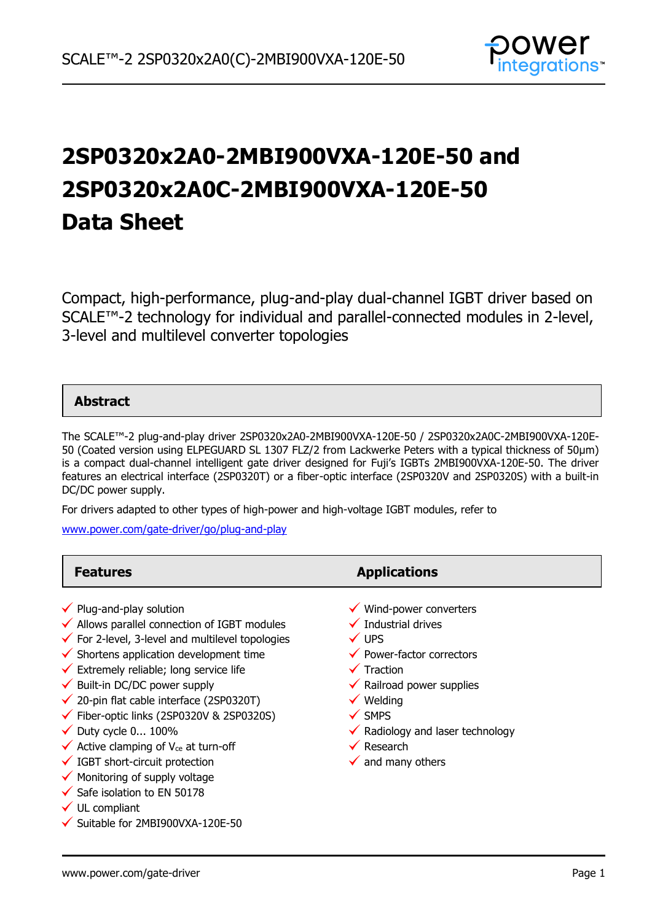

# **2SP0320x2A0-2MBI900VXA-120E-50 and 2SP0320x2A0C-2MBI900VXA-120E-50 Data Sheet**

Compact, high-performance, plug-and-play dual-channel IGBT driver based on SCALE™-2 technology for individual and parallel-connected modules in 2-level, 3-level and multilevel converter topologies

### **Abstract**

The SCALE™-2 plug-and-play driver 2SP0320x2A0-2MBI900VXA-120E-50 / 2SP0320x2A0C-2MBI900VXA-120E-50 (Coated version using ELPEGUARD SL 1307 FLZ/2 from Lackwerke Peters with a typical thickness of 50µm) is a compact dual-channel intelligent gate driver designed for Fuji's IGBTs 2MBI900VXA-120E-50. The driver features an electrical interface (2SP0320T) or a fiber-optic interface (2SP0320V and 2SP0320S) with a built-in DC/DC power supply.

For drivers adapted to other types of high-power and high-voltage IGBT modules, refer to

[www.power.com/gate-driver/go/plug-and-play](http://www.power.com/gate-driver/go/plug-and-play)

| <b>Features</b>                                                                                                                                                                                                                                                                                                                                                                                                                                                                                                                                                                                                                                                             | <b>Applications</b>                                                                                                                                                                                                                                                                                                                                    |
|-----------------------------------------------------------------------------------------------------------------------------------------------------------------------------------------------------------------------------------------------------------------------------------------------------------------------------------------------------------------------------------------------------------------------------------------------------------------------------------------------------------------------------------------------------------------------------------------------------------------------------------------------------------------------------|--------------------------------------------------------------------------------------------------------------------------------------------------------------------------------------------------------------------------------------------------------------------------------------------------------------------------------------------------------|
| $\checkmark$ Plug-and-play solution<br>$\checkmark$ Allows parallel connection of IGBT modules<br>$\checkmark$ For 2-level, 3-level and multilevel topologies<br>$\checkmark$ Shortens application development time<br>$\checkmark$ Extremely reliable; long service life<br>$\checkmark$ Built-in DC/DC power supply<br>$\checkmark$ 20-pin flat cable interface (2SP0320T)<br>$\checkmark$ Fiber-optic links (2SP0320V & 2SP0320S)<br>$\checkmark$ Duty cycle 0 100%<br>$\checkmark$ Active clamping of V <sub>ce</sub> at turn-off<br>$\checkmark$ IGBT short-circuit protection<br>$\checkmark$ Monitoring of supply voltage<br>$\checkmark$ Safe isolation to EN 50178 | $\checkmark$ Wind-power converters<br>$\checkmark$ Industrial drives<br>$\checkmark$ UPS<br>$\checkmark$ Power-factor correctors<br>$\checkmark$ Traction<br>$\checkmark$ Railroad power supplies<br>$\checkmark$ Welding<br>$\checkmark$ SMPS<br>$\checkmark$ Radiology and laser technology<br>$\checkmark$ Research<br>$\checkmark$ and many others |
| $\checkmark$ UL compliant                                                                                                                                                                                                                                                                                                                                                                                                                                                                                                                                                                                                                                                   |                                                                                                                                                                                                                                                                                                                                                        |

 $\checkmark$  Suitable for 2MBI900VXA-120E-50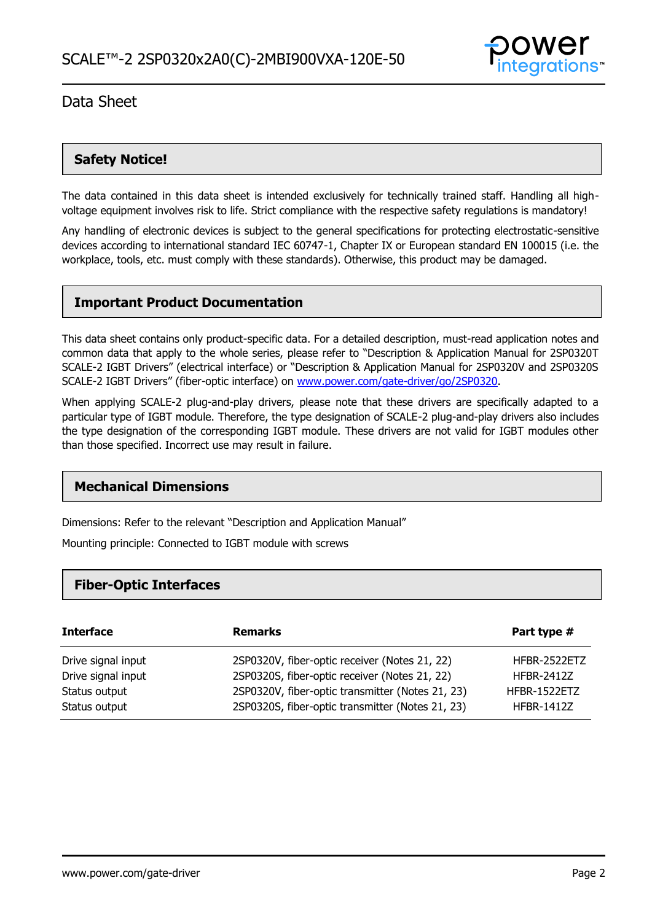

### **Safety Notice!**

The data contained in this data sheet is intended exclusively for technically trained staff. Handling all highvoltage equipment involves risk to life. Strict compliance with the respective safety regulations is mandatory!

Any handling of electronic devices is subject to the general specifications for protecting electrostatic-sensitive devices according to international standard IEC 60747-1, Chapter IX or European standard EN 100015 (i.e. the workplace, tools, etc. must comply with these standards). Otherwise, this product may be damaged.

### **Important Product Documentation**

This data sheet contains only product-specific data. For a detailed description, must-read application notes and common data that apply to the whole series, please refer to "Description & Application Manual for 2SP0320T SCALE-2 IGBT Drivers" (electrical interface) or "Description & Application Manual for 2SP0320V and 2SP0320S SCALE-2 IGBT Drivers" (fiber-optic interface) on [www.power.com/gate-driver/go/2SP0320.](http://www.power.com/gate-driver/go/2SP0320)

When applying SCALE-2 plug-and-play drivers, please note that these drivers are specifically adapted to a particular type of IGBT module. Therefore, the type designation of SCALE-2 plug-and-play drivers also includes the type designation of the corresponding IGBT module. These drivers are not valid for IGBT modules other than those specified. Incorrect use may result in failure.

### **Mechanical Dimensions**

Dimensions: Refer to the relevant "Description and Application Manual"

Mounting principle: Connected to IGBT module with screws

### **Fiber-Optic Interfaces**

| <b>Interface</b>   | <b>Remarks</b>                                   | Part type #       |
|--------------------|--------------------------------------------------|-------------------|
| Drive signal input | 2SP0320V, fiber-optic receiver (Notes 21, 22)    | HFBR-2522ETZ      |
| Drive signal input | 2SP0320S, fiber-optic receiver (Notes 21, 22)    | <b>HFBR-2412Z</b> |
| Status output      | 2SP0320V, fiber-optic transmitter (Notes 21, 23) | HFBR-1522ETZ      |
| Status output      | 2SP0320S, fiber-optic transmitter (Notes 21, 23) | <b>HFBR-1412Z</b> |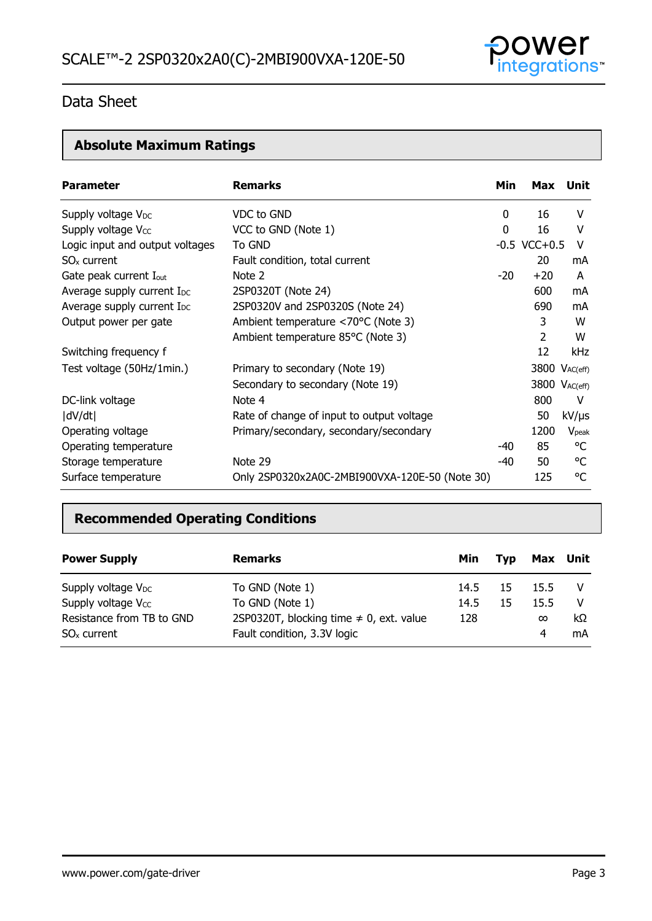

# **Absolute Maximum Ratings**

| <b>Parameter</b>                       | <b>Remarks</b>                                 | Min | Max               | Unit           |
|----------------------------------------|------------------------------------------------|-----|-------------------|----------------|
| Supply voltage V <sub>DC</sub>         | VDC to GND                                     | 0   | 16                | V              |
| Supply voltage V <sub>cc</sub>         | VCC to GND (Note 1)                            | 0   | 16                | v              |
| Logic input and output voltages        | To GND                                         |     | $-0.5$ VCC $+0.5$ | V              |
| $SOx$ current                          | Fault condition, total current                 |     | 20                | mA             |
| Gate peak current I <sub>out</sub>     | Note 2                                         | -20 | $+20$             | A              |
| Average supply current I <sub>DC</sub> | 2SP0320T (Note 24)                             |     | 600               | mA             |
| Average supply current I <sub>DC</sub> | 2SP0320V and 2SP0320S (Note 24)                |     | 690               | mA             |
| Output power per gate                  | Ambient temperature <70°C (Note 3)             |     | 3                 | W              |
|                                        | Ambient temperature 85°C (Note 3)              |     | 2                 | W              |
| Switching frequency f                  |                                                |     | 12                | kHz            |
| Test voltage (50Hz/1min.)              | Primary to secondary (Note 19)                 |     | 3800 VAC(eff)     |                |
|                                        | Secondary to secondary (Note 19)               |     | 3800 VAC(eff)     |                |
| DC-link voltage                        | Note 4                                         |     | 800               | V              |
| dV/dt                                  | Rate of change of input to output voltage      |     | 50                | $kV/\mu s$     |
| Operating voltage                      | Primary/secondary, secondary/secondary         |     | 1200              | $V_{\rm peak}$ |
| Operating temperature                  |                                                | -40 | 85                | °C             |
| Storage temperature                    | Note 29                                        | -40 | 50                | °C             |
| Surface temperature                    | Only 2SP0320x2A0C-2MBI900VXA-120E-50 (Note 30) |     | 125               | °C             |

## **Recommended Operating Conditions**

| <b>Power Supply</b>            | <b>Remarks</b>                               | Min  | <b>Tvp</b> | Max      | Unit |
|--------------------------------|----------------------------------------------|------|------------|----------|------|
| Supply voltage $V_{DC}$        | To GND (Note 1)                              | 14.5 | 15         | 15.5     |      |
| Supply voltage V <sub>cc</sub> | To GND (Note 1)                              | 14.5 | 15         | 15.5     | -V   |
| Resistance from TB to GND      | 2SP0320T, blocking time $\neq$ 0, ext. value | 128  |            | $\infty$ | kΩ   |
| $SOx$ current                  | Fault condition, 3.3V logic                  |      |            | 4        | mA   |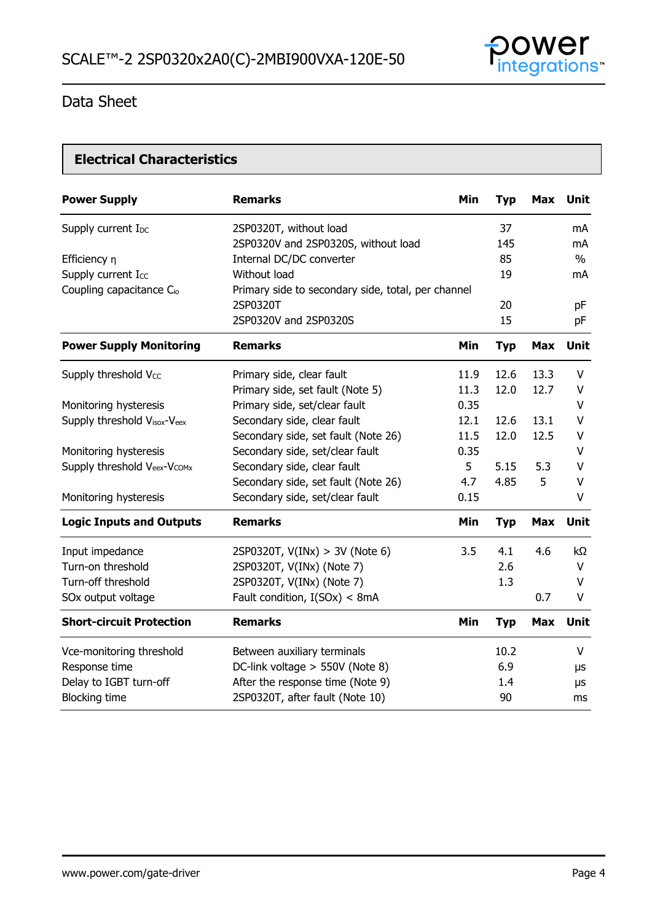

### **Electrical Characteristics**

| <b>Power Supply</b>                  | <b>Remarks</b>                                     | <b>Min</b> | <b>Typ</b> | <b>Max</b> | Unit          |
|--------------------------------------|----------------------------------------------------|------------|------------|------------|---------------|
| Supply current I <sub>DC</sub>       | 2SP0320T, without load                             |            | 37         |            | mA            |
|                                      | 2SP0320V and 2SP0320S, without load                |            | 145        |            | mA            |
| Efficiency n                         | Internal DC/DC converter                           |            | 85         |            | $\frac{0}{0}$ |
| Supply current Icc                   | Without load                                       |            | 19         |            | mA            |
| Coupling capacitance C <sub>io</sub> | Primary side to secondary side, total, per channel |            |            |            |               |
|                                      | 2SP0320T                                           |            | 20         |            | pF            |
|                                      | 2SP0320V and 2SP0320S                              |            | 15         |            | pF            |
| <b>Power Supply Monitoring</b>       | <b>Remarks</b>                                     | Min        | <b>Typ</b> | <b>Max</b> | <b>Unit</b>   |
| Supply threshold Vcc                 | Primary side, clear fault                          | 11.9       | 12.6       | 13.3       | $\vee$        |
|                                      | Primary side, set fault (Note 5)                   | 11.3       | 12.0       | 12.7       | $\vee$        |
| Monitoring hysteresis                | Primary side, set/clear fault                      | 0.35       |            |            | $\vee$        |
| Supply threshold Visox-Veex          | Secondary side, clear fault                        | 12.1       | 12.6       | 13.1       | V             |
|                                      | Secondary side, set fault (Note 26)                | 11.5       | 12.0       | 12.5       | V             |
| Monitoring hysteresis                | Secondary side, set/clear fault                    | 0.35       |            |            | V             |
| Supply threshold Veex-Vcomx          | Secondary side, clear fault                        | 5          | 5.15       | 5.3        | V             |
|                                      | Secondary side, set fault (Note 26)                | 4.7        | 4.85       | 5          | $\vee$        |
| Monitoring hysteresis                | Secondary side, set/clear fault                    | 0.15       |            |            | V             |
| <b>Logic Inputs and Outputs</b>      | <b>Remarks</b>                                     | Min        | <b>Typ</b> | <b>Max</b> | <b>Unit</b>   |
| Input impedance                      | 2SP0320T, $V(INx) > 3V$ (Note 6)                   | 3.5        | 4.1        | 4.6        | kΩ            |
| Turn-on threshold                    | 2SP0320T, V(INx) (Note 7)                          |            | 2.6        |            | V             |
| Turn-off threshold                   | 2SP0320T, V(INx) (Note 7)                          |            | 1.3        |            | V             |
| SOx output voltage                   | Fault condition, I(SOx) < 8mA                      |            |            | 0.7        | V             |
| <b>Short-circuit Protection</b>      | <b>Remarks</b>                                     | Min        | <b>Typ</b> | <b>Max</b> | Unit          |
| Vce-monitoring threshold             | Between auxiliary terminals                        |            | 10.2       |            | V             |
| Response time                        | DC-link voltage > 550V (Note 8)                    |            | 6.9        |            | μs            |
| Delay to IGBT turn-off               | After the response time (Note 9)                   |            | 1.4        |            | μs            |
| <b>Blocking time</b>                 | 2SP0320T, after fault (Note 10)                    |            | 90         |            | ms            |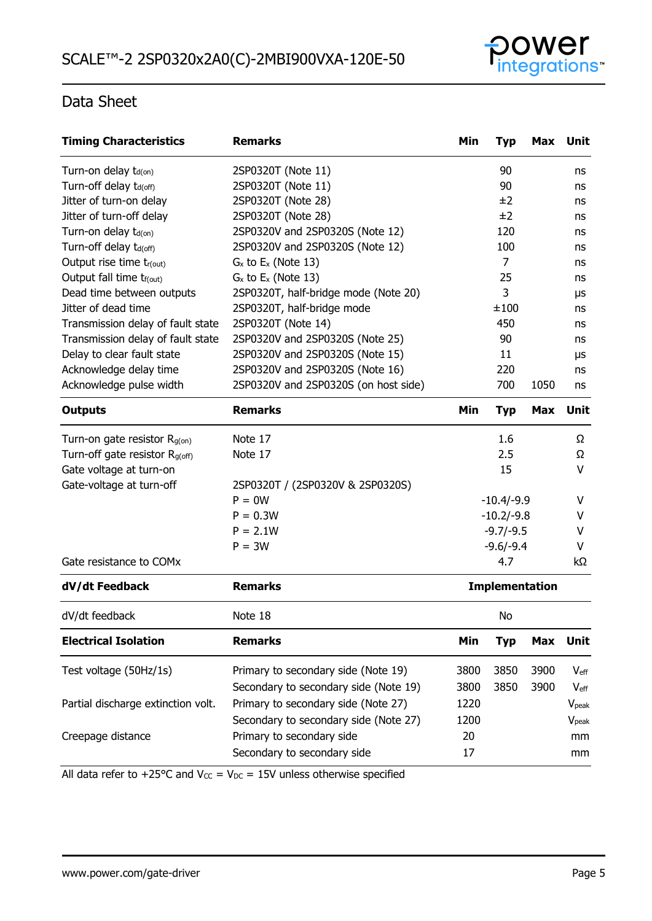

| <b>Timing Characteristics</b>              | <b>Remarks</b>                        | Min                   | <b>Typ</b>     | Max        | Unit              |
|--------------------------------------------|---------------------------------------|-----------------------|----------------|------------|-------------------|
| Turn-on delay t <sub>d(on)</sub>           | 2SP0320T (Note 11)                    |                       | 90             |            | ns                |
| Turn-off delay t <sub>d(off)</sub>         | 2SP0320T (Note 11)                    |                       | 90             |            | ns                |
| Jitter of turn-on delay                    | 2SP0320T (Note 28)                    |                       | ±2             |            | ns                |
| Jitter of turn-off delay                   | 2SP0320T (Note 28)                    |                       | ±2             |            | ns                |
| Turn-on delay t <sub>d(on)</sub>           | 2SP0320V and 2SP0320S (Note 12)       |                       | 120            |            | ns                |
| Turn-off delay t <sub>d(off)</sub>         | 2SP0320V and 2SP0320S (Note 12)       |                       | 100            |            | ns                |
| Output rise time tr(out)                   | $G_x$ to $E_x$ (Note 13)              |                       | $\overline{7}$ |            | ns                |
| Output fall time t <sub>f(out)</sub>       | $G_x$ to $E_x$ (Note 13)              |                       | 25             |            | ns                |
| Dead time between outputs                  | 2SP0320T, half-bridge mode (Note 20)  |                       | 3              |            | μs                |
| Jitter of dead time                        | 2SP0320T, half-bridge mode            |                       | ±100           |            | ns                |
| Transmission delay of fault state          | 2SP0320T (Note 14)                    |                       | 450            |            | ns                |
| Transmission delay of fault state          | 2SP0320V and 2SP0320S (Note 25)       |                       | 90             |            | ns                |
| Delay to clear fault state                 | 2SP0320V and 2SP0320S (Note 15)       |                       | 11             |            | μs                |
| Acknowledge delay time                     | 2SP0320V and 2SP0320S (Note 16)       |                       | 220            |            | ns                |
| Acknowledge pulse width                    | 2SP0320V and 2SP0320S (on host side)  |                       | 700            | 1050       | ns                |
| <b>Outputs</b>                             | <b>Remarks</b>                        | Min                   | <b>Typ</b>     | <b>Max</b> | Unit              |
| Turn-on gate resistor $R_{g(0n)}$          | Note 17                               |                       | 1.6            |            | Ω                 |
| Turn-off gate resistor R <sub>g(off)</sub> | Note 17                               |                       | 2.5            |            | Ω                 |
| Gate voltage at turn-on                    |                                       |                       | 15             |            | V                 |
| Gate-voltage at turn-off                   | 2SP0320T / (2SP0320V & 2SP0320S)      |                       |                |            |                   |
|                                            | $P = 0W$                              | $-10.4/-9.9$          |                |            | v                 |
|                                            | $P = 0.3W$                            |                       | $-10.2/-9.8$   |            | v                 |
|                                            | $P = 2.1W$                            |                       | $-9.7/-9.5$    |            | V                 |
|                                            | $P = 3W$                              |                       | $-9.6/-9.4$    |            | V                 |
| Gate resistance to COMx                    |                                       |                       | 4.7            |            | kΩ                |
| dV/dt Feedback                             | <b>Remarks</b>                        | <b>Implementation</b> |                |            |                   |
| dV/dt feedback                             | Note 18                               |                       | No             |            |                   |
| <b>Electrical Isolation</b>                | <b>Remarks</b>                        | Min                   | <b>Typ</b>     | <b>Max</b> | Unit              |
| Test voltage (50Hz/1s)                     | Primary to secondary side (Note 19)   | 3800                  | 3850           | 3900       | $V_{\text{eff}}$  |
|                                            | Secondary to secondary side (Note 19) | 3800                  | 3850           | 3900       | $V_{\text{eff}}$  |
| Partial discharge extinction volt.         | Primary to secondary side (Note 27)   | 1220                  |                |            | $V_{\text{peak}}$ |
|                                            | Secondary to secondary side (Note 27) | 1200                  |                |            | V <sub>peak</sub> |
| Creepage distance                          | Primary to secondary side             | 20                    |                |            | mm                |
|                                            | Secondary to secondary side           | 17                    |                |            |                   |
|                                            |                                       |                       |                |            | mm                |

All data refer to +25°C and  $V_{CC} = V_{DC} = 15V$  unless otherwise specified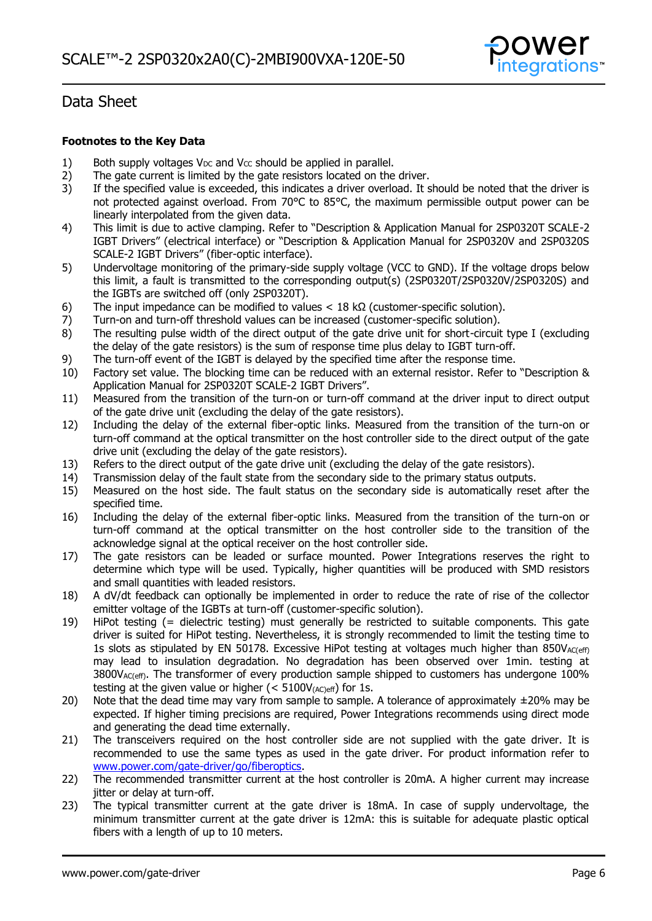

### **Footnotes to the Key Data**

- 1) Both supply voltages  $V_{DC}$  and  $V_{CC}$  should be applied in parallel.<br>2) The gate current is limited by the gate resistors located on the
- 2) The gate current is limited by the gate resistors located on the driver.<br>3) If the specified value is exceeded, this indicates a driver overload. It s
- If the specified value is exceeded, this indicates a driver overload. It should be noted that the driver is not protected against overload. From 70°C to 85°C, the maximum permissible output power can be linearly interpolated from the given data.
- 4) This limit is due to active clamping. Refer to "Description & Application Manual for 2SP0320T SCALE-2 IGBT Drivers" (electrical interface) or "Description & Application Manual for 2SP0320V and 2SP0320S SCALE-2 IGBT Drivers" (fiber-optic interface).
- 5) Undervoltage monitoring of the primary-side supply voltage (VCC to GND). If the voltage drops below this limit, a fault is transmitted to the corresponding output(s) (2SP0320T/2SP0320V/2SP0320S) and the IGBTs are switched off (only 2SP0320T).
- 6) The input impedance can be modified to values  $<$  18 k $\Omega$  (customer-specific solution).
- 7) Turn-on and turn-off threshold values can be increased (customer-specific solution).<br>8) The resulting pulse width of the direct output of the gate drive unit for short-circuit
- The resulting pulse width of the direct output of the gate drive unit for short-circuit type I (excluding the delay of the gate resistors) is the sum of response time plus delay to IGBT turn-off.
- 9) The turn-off event of the IGBT is delayed by the specified time after the response time.
- 10) Factory set value. The blocking time can be reduced with an external resistor. Refer to "Description & Application Manual for 2SP0320T SCALE-2 IGBT Drivers".
- 11) Measured from the transition of the turn-on or turn-off command at the driver input to direct output of the gate drive unit (excluding the delay of the gate resistors).
- 12) Including the delay of the external fiber-optic links. Measured from the transition of the turn-on or turn-off command at the optical transmitter on the host controller side to the direct output of the gate drive unit (excluding the delay of the gate resistors).
- 13) Refers to the direct output of the gate drive unit (excluding the delay of the gate resistors).<br>14) Transmission delay of the fault state from the secondary side to the primary status outputs.
- Transmission delay of the fault state from the secondary side to the primary status outputs.
- 15) Measured on the host side. The fault status on the secondary side is automatically reset after the specified time.
- 16) Including the delay of the external fiber-optic links. Measured from the transition of the turn-on or turn-off command at the optical transmitter on the host controller side to the transition of the acknowledge signal at the optical receiver on the host controller side.
- 17) The gate resistors can be leaded or surface mounted. Power Integrations reserves the right to determine which type will be used. Typically, higher quantities will be produced with SMD resistors and small quantities with leaded resistors.
- 18) A dV/dt feedback can optionally be implemented in order to reduce the rate of rise of the collector emitter voltage of the IGBTs at turn-off (customer-specific solution).
- 19) HiPot testing (= dielectric testing) must generally be restricted to suitable components. This gate driver is suited for HiPot testing. Nevertheless, it is strongly recommended to limit the testing time to 1s slots as stipulated by EN 50178. Excessive HiPot testing at voltages much higher than  $850V_{AC(eff)}$ may lead to insulation degradation. No degradation has been observed over 1min. testing at  $3800V_{AC(eff)}$ . The transformer of every production sample shipped to customers has undergone 100% testing at the given value or higher ( $<$  5100V $_{(AC)eff}$ ) for 1s.
- 20) Note that the dead time may vary from sample to sample. A tolerance of approximately  $\pm 20\%$  may be expected. If higher timing precisions are required, Power Integrations recommends using direct mode and generating the dead time externally.
- 21) The transceivers required on the host controller side are not supplied with the gate driver. It is recommended to use the same types as used in the gate driver. For product information refer to [www.power.com/gate-driver/go/fiberoptics.](http://www.power.com/gate-driver/go/fiberoptics)
- 22) The recommended transmitter current at the host controller is 20mA. A higher current may increase jitter or delay at turn-off.
- 23) The typical transmitter current at the gate driver is 18mA. In case of supply undervoltage, the minimum transmitter current at the gate driver is 12mA: this is suitable for adequate plastic optical fibers with a length of up to 10 meters.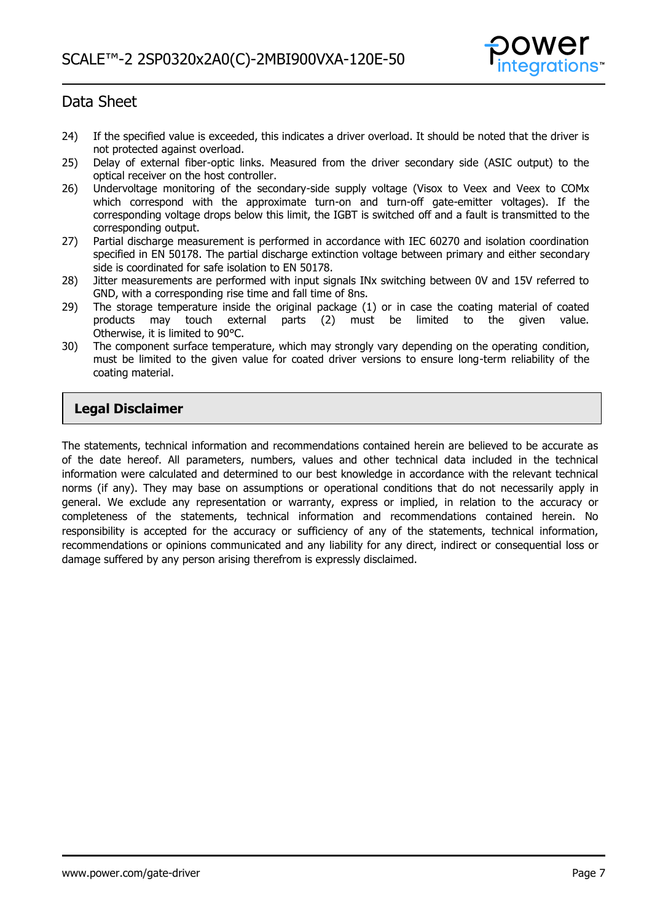

- 24) If the specified value is exceeded, this indicates a driver overload. It should be noted that the driver is not protected against overload.
- 25) Delay of external fiber-optic links. Measured from the driver secondary side (ASIC output) to the optical receiver on the host controller.
- 26) Undervoltage monitoring of the secondary-side supply voltage (Visox to Veex and Veex to COMx which correspond with the approximate turn-on and turn-off gate-emitter voltages). If the corresponding voltage drops below this limit, the IGBT is switched off and a fault is transmitted to the corresponding output.
- 27) Partial discharge measurement is performed in accordance with IEC 60270 and isolation coordination specified in EN 50178. The partial discharge extinction voltage between primary and either secondary side is coordinated for safe isolation to EN 50178.
- 28) Jitter measurements are performed with input signals INx switching between 0V and 15V referred to GND, with a corresponding rise time and fall time of 8ns.
- 29) The storage temperature inside the original package (1) or in case the coating material of coated products may touch external parts (2) must be limited to the given value. may touch external parts (2) must be limited to the given value. Otherwise, it is limited to 90°C.
- 30) The component surface temperature, which may strongly vary depending on the operating condition, must be limited to the given value for coated driver versions to ensure long-term reliability of the coating material.

### **Legal Disclaimer**

The statements, technical information and recommendations contained herein are believed to be accurate as of the date hereof. All parameters, numbers, values and other technical data included in the technical information were calculated and determined to our best knowledge in accordance with the relevant technical norms (if any). They may base on assumptions or operational conditions that do not necessarily apply in general. We exclude any representation or warranty, express or implied, in relation to the accuracy or completeness of the statements, technical information and recommendations contained herein. No responsibility is accepted for the accuracy or sufficiency of any of the statements, technical information, recommendations or opinions communicated and any liability for any direct, indirect or consequential loss or damage suffered by any person arising therefrom is expressly disclaimed.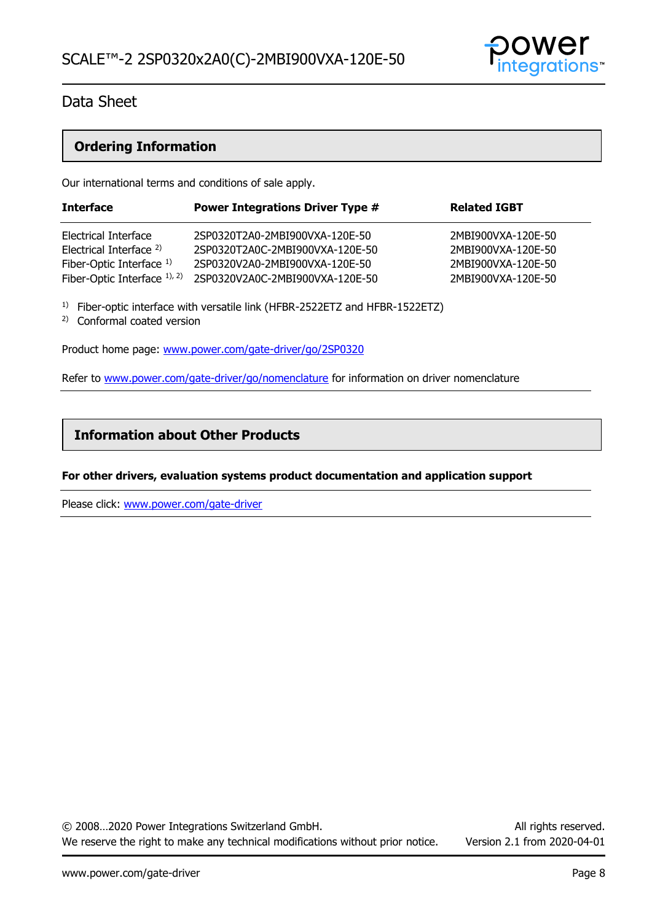

### **Ordering Information**

Our international terms and conditions of sale apply.

| <b>Interface</b>                                                                          | <b>Power Integrations Driver Type #</b>                                                             | <b>Related IGBT</b>                                            |
|-------------------------------------------------------------------------------------------|-----------------------------------------------------------------------------------------------------|----------------------------------------------------------------|
| Electrical Interface<br>Electrical Interface <sup>2)</sup><br>Fiber-Optic Interface $1$ ) | 2SP0320T2A0-2MBI900VXA-120E-50<br>2SP0320T2A0C-2MBI900VXA-120E-50<br>2SP0320V2A0-2MBI900VXA-120E-50 | 2MBI900VXA-120E-50<br>2MBI900VXA-120E-50<br>2MBI900VXA-120E-50 |
| Fiber-Optic Interface $1$ , $2$ )                                                         | 2SP0320V2A0C-2MBI900VXA-120E-50                                                                     | 2MBI900VXA-120E-50                                             |

<sup>1)</sup> Fiber-optic interface with versatile link (HFBR-2522ETZ and HFBR-1522ETZ)

2) Conformal coated version

Product home page: [www.power.com/gate-driver/go/2SP0320](http://www.power.com/gate-driver/go/2SP0320)

Refer to [www.power.com/gate-driver/go/nomenclature](http://www.power.com/gate-driver/go/nomenclature) for information on driver nomenclature

### **Information about Other Products**

### **For other drivers, evaluation systems product documentation and application support**

Please click: [www.power.com/gate-driver](http://www.power.com/gate-driver)

© 2008…2020 Power Integrations Switzerland GmbH. All rights reserved. We reserve the right to make any technical modifications without prior notice. Version 2.1 from 2020-04-01